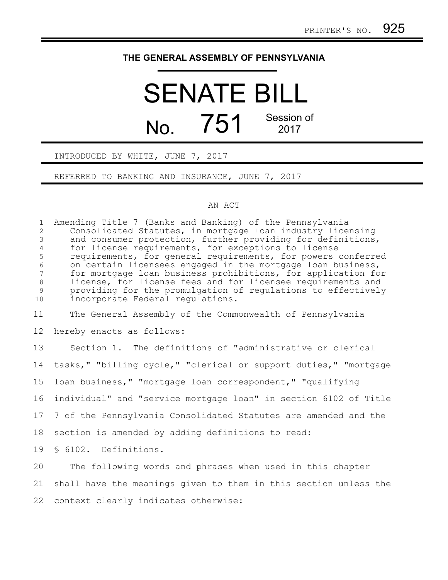## **THE GENERAL ASSEMBLY OF PENNSYLVANIA**

## SENATE BILL No.  $751$ <sup>Session of</sup> 2017

INTRODUCED BY WHITE, JUNE 7, 2017

REFERRED TO BANKING AND INSURANCE, JUNE 7, 2017

## AN ACT

Amending Title 7 (Banks and Banking) of the Pennsylvania Consolidated Statutes, in mortgage loan industry licensing and consumer protection, further providing for definitions, for license requirements, for exceptions to license requirements, for general requirements, for powers conferred on certain licensees engaged in the mortgage loan business, for mortgage loan business prohibitions, for application for license, for license fees and for licensee requirements and providing for the promulgation of regulations to effectively incorporate Federal regulations. The General Assembly of the Commonwealth of Pennsylvania hereby enacts as follows: Section 1. The definitions of "administrative or clerical tasks," "billing cycle," "clerical or support duties," "mortgage 1 2 3 4 5 6 7 8 9 10 11 12 13 14

loan business," "mortgage loan correspondent," "qualifying 15

individual" and "service mortgage loan" in section 6102 of Title 16

7 of the Pennsylvania Consolidated Statutes are amended and the 17

section is amended by adding definitions to read: 18

§ 6102. Definitions. 19

The following words and phrases when used in this chapter shall have the meanings given to them in this section unless the context clearly indicates otherwise: 20 21 22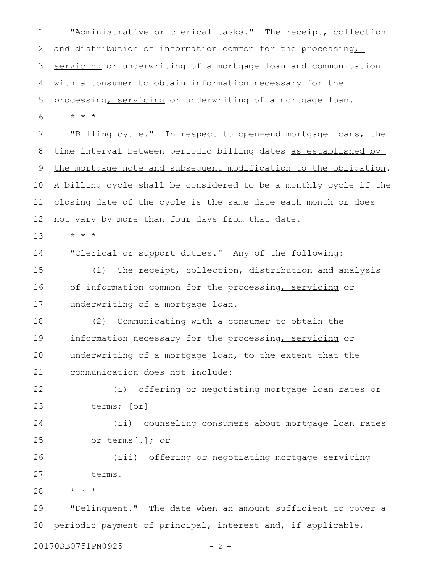"Administrative or clerical tasks." The receipt, collection and distribution of information common for the processing servicing or underwriting of a mortgage loan and communication with a consumer to obtain information necessary for the processing, servicing or underwriting of a mortgage loan. \* \* \* "Billing cycle." In respect to open-end mortgage loans, the time interval between periodic billing dates as established by the mortgage note and subsequent modification to the obligation. A billing cycle shall be considered to be a monthly cycle if the closing date of the cycle is the same date each month or does not vary by more than four days from that date. \* \* \* 1 2 3 4 5 6 7 8 9 10 11 12 13

"Clerical or support duties." Any of the following: 14

(1) The receipt, collection, distribution and analysis of information common for the processing, servicing or underwriting of a mortgage loan. 15 16 17

(2) Communicating with a consumer to obtain the information necessary for the processing, servicing or underwriting of a mortgage loan, to the extent that the communication does not include: 18 19 20 21

(i) offering or negotiating mortgage loan rates or terms; [or] 22 23

(ii) counseling consumers about mortgage loan rates or terms[.]; or 24 25

(iii) offering or negotiating mortgage servicing terms. 26 27

\* \* \* 28

"Delinquent." The date when an amount sufficient to cover a periodic payment of principal, interest and, if applicable, 29 30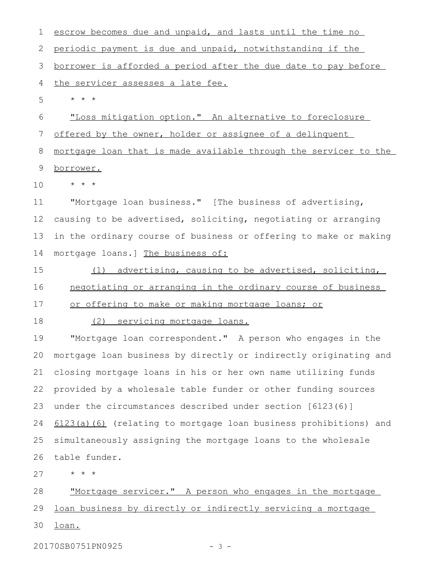escrow becomes due and unpaid, and lasts until the time no periodic payment is due and unpaid, notwithstanding if the borrower is afforded a period after the due date to pay before the servicer assesses a late fee. \* \* \* "Loss mitigation option." An alternative to foreclosure offered by the owner, holder or assignee of a delinquent mortgage loan that is made available through the servicer to the borrower. \* \* \* "Mortgage loan business." [The business of advertising, causing to be advertised, soliciting, negotiating or arranging in the ordinary course of business or offering to make or making mortgage loans.] The business of: (1) advertising, causing to be advertised, soliciting, negotiating or arranging in the ordinary course of business or offering to make or making mortgage loans; or (2) servicing mortgage loans. "Mortgage loan correspondent." A person who engages in the mortgage loan business by directly or indirectly originating and closing mortgage loans in his or her own name utilizing funds provided by a wholesale table funder or other funding sources under the circumstances described under section [6123(6)] 6123(a)(6) (relating to mortgage loan business prohibitions) and simultaneously assigning the mortgage loans to the wholesale table funder. \* \* \* "Mortgage servicer." A person who engages in the mortgage loan business by directly or indirectly servicing a mortgage loan. 1 2 3 4 5 6 7 8 9 10 11 12 13 14 15 16 17 18 19 20 21 22 23 24 25 26 27 28 29 30

20170SB0751PN0925 - 3 -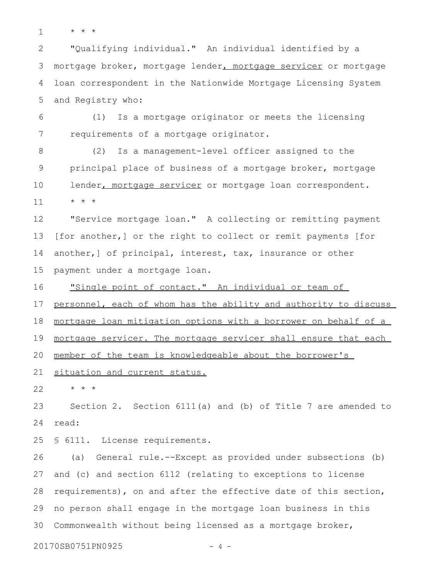\* \* \* 1

"Qualifying individual." An individual identified by a mortgage broker, mortgage lender, mortgage servicer or mortgage loan correspondent in the Nationwide Mortgage Licensing System and Registry who: 2 3 4 5

(1) Is a mortgage originator or meets the licensing requirements of a mortgage originator. 6 7

(2) Is a management-level officer assigned to the principal place of business of a mortgage broker, mortgage lender, mortgage servicer or mortgage loan correspondent. \* \* \* 8 9 10 11

"Service mortgage loan." A collecting or remitting payment [for another,] or the right to collect or remit payments [for another,] of principal, interest, tax, insurance or other payment under a mortgage loan. 12 13 14 15

"Single point of contact." An individual or team of personnel, each of whom has the ability and authority to discuss mortgage loan mitigation options with a borrower on behalf of a mortgage servicer. The mortgage servicer shall ensure that each member of the team is knowledgeable about the borrower's 16 17 18 19 20

situation and current status. 21

\* \* \* 22

Section 2. Section 6111(a) and (b) of Title 7 are amended to read: 23 24

§ 6111. License requirements. 25

(a) General rule.--Except as provided under subsections (b) and (c) and section 6112 (relating to exceptions to license requirements), on and after the effective date of this section, no person shall engage in the mortgage loan business in this Commonwealth without being licensed as a mortgage broker, 26 27 28 29 30

20170SB0751PN0925 - 4 -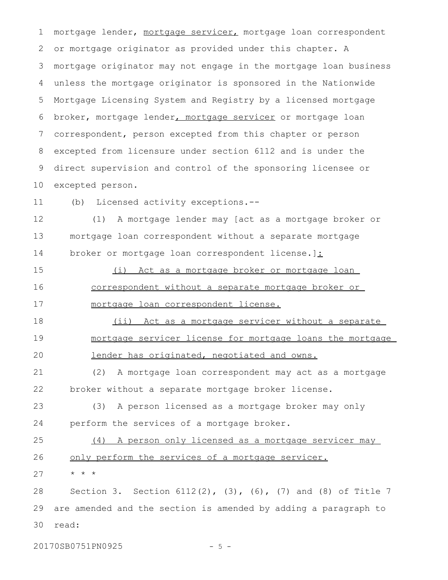mortgage lender, mortgage servicer, mortgage loan correspondent or mortgage originator as provided under this chapter. A mortgage originator may not engage in the mortgage loan business unless the mortgage originator is sponsored in the Nationwide Mortgage Licensing System and Registry by a licensed mortgage broker, mortgage lender, mortgage servicer or mortgage loan correspondent, person excepted from this chapter or person excepted from licensure under section 6112 and is under the direct supervision and control of the sponsoring licensee or excepted person. 1 2 3 4 5 6 7 8 9 10

(b) Licensed activity exceptions.-- 11

(1) A mortgage lender may [act as a mortgage broker or mortgage loan correspondent without a separate mortgage broker or mortgage loan correspondent license.]: 12 13 14

(i) Act as a mortgage broker or mortgage loan correspondent without a separate mortgage broker or mortgage loan correspondent license. 15 16 17

(ii) Act as a mortgage servicer without a separate mortgage servicer license for mortgage loans the mortgage lender has originated, negotiated and owns. 18 19 20

(2) A mortgage loan correspondent may act as a mortgage broker without a separate mortgage broker license. 21 22

(3) A person licensed as a mortgage broker may only perform the services of a mortgage broker. 23 24

(4) A person only licensed as a mortgage servicer may only perform the services of a mortgage servicer. \* \* \* 25 26 27

Section 3. Section 6112(2), (3), (6), (7) and (8) of Title 7 are amended and the section is amended by adding a paragraph to read: 28 29 30

20170SB0751PN0925 - 5 -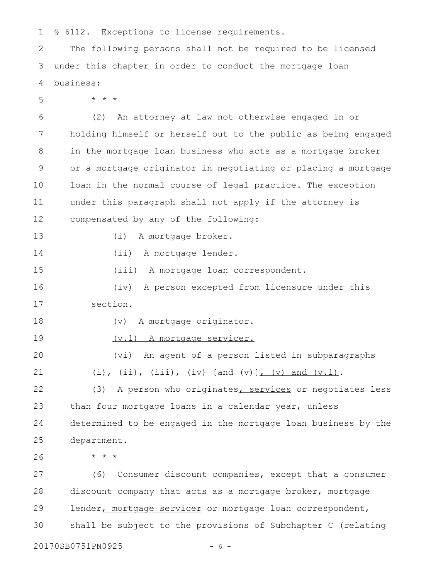§ 6112. Exceptions to license requirements. 1

The following persons shall not be required to be licensed under this chapter in order to conduct the mortgage loan business: 2 3 4

\* \* \* 5

(2) An attorney at law not otherwise engaged in or holding himself or herself out to the public as being engaged in the mortgage loan business who acts as a mortgage broker or a mortgage originator in negotiating or placing a mortgage loan in the normal course of legal practice. The exception under this paragraph shall not apply if the attorney is compensated by any of the following: 6 7 8 9 10 11 12

- (i) A mortgage broker.
- 14

13

- (ii) A mortgage lender.
- (iii) A mortgage loan correspondent. 15

(iv) A person excepted from licensure under this section. 16 17

- 18
- (v) A mortgage originator.
- (v.1) A mortgage servicer. 19

(vi) An agent of a person listed in subparagraphs (i), (ii), (iii), (iv) [and (v)],  $(v)$  and  $(v.1)$ . 20 21

(3) A person who originates, services or negotiates less than four mortgage loans in a calendar year, unless determined to be engaged in the mortgage loan business by the department. 22 23 24 25

26

\* \* \*

(6) Consumer discount companies, except that a consumer discount company that acts as a mortgage broker, mortgage lender, mortgage servicer or mortgage loan correspondent, shall be subject to the provisions of Subchapter C (relating 27 28 29 30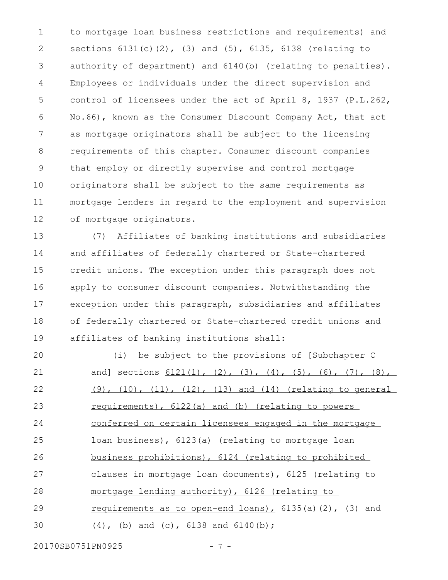to mortgage loan business restrictions and requirements) and sections 6131(c)(2), (3) and (5), 6135, 6138 (relating to authority of department) and 6140(b) (relating to penalties). Employees or individuals under the direct supervision and control of licensees under the act of April 8, 1937 (P.L.262, No.66), known as the Consumer Discount Company Act, that act as mortgage originators shall be subject to the licensing requirements of this chapter. Consumer discount companies that employ or directly supervise and control mortgage originators shall be subject to the same requirements as mortgage lenders in regard to the employment and supervision of mortgage originators. 1 2 3 4 5 6 7 8 9 10 11 12

(7) Affiliates of banking institutions and subsidiaries and affiliates of federally chartered or State-chartered credit unions. The exception under this paragraph does not apply to consumer discount companies. Notwithstanding the exception under this paragraph, subsidiaries and affiliates of federally chartered or State-chartered credit unions and affiliates of banking institutions shall: 13 14 15 16 17 18 19

(i) be subject to the provisions of [Subchapter C and] sections  $6121(1)$ ,  $(2)$ ,  $(3)$ ,  $(4)$ ,  $(5)$ ,  $(6)$ ,  $(7)$ ,  $(8)$ , (9), (10), (11), (12), (13) and (14) (relating to general requirements), 6122(a) and (b) (relating to powers conferred on certain licensees engaged in the mortgage loan business), 6123(a) (relating to mortgage loan business prohibitions), 6124 (relating to prohibited clauses in mortgage loan documents), 6125 (relating to mortgage lending authority), 6126 (relating to requirements as to open-end loans),  $6135(a)(2)$ ,  $(3)$  and (4), (b) and (c), 6138 and 6140(b); 20 21 22 23 24 25 26 27 28 29 30

20170SB0751PN0925 - 7 -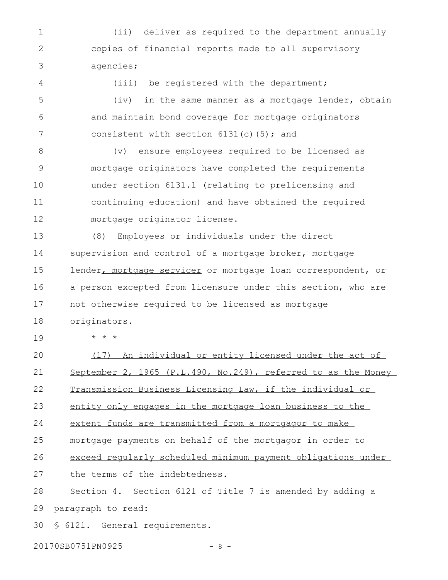(ii) deliver as required to the department annually copies of financial reports made to all supervisory agencies; 1 2 3

(iii) be registered with the department; (iv) in the same manner as a mortgage lender, obtain and maintain bond coverage for mortgage originators consistent with section  $6131(c)$  (5); and 4 5 6 7

(v) ensure employees required to be licensed as mortgage originators have completed the requirements under section 6131.1 (relating to prelicensing and continuing education) and have obtained the required mortgage originator license. 8 9 10 11 12

(8) Employees or individuals under the direct supervision and control of a mortgage broker, mortgage lender, mortgage servicer or mortgage loan correspondent, or a person excepted from licensure under this section, who are not otherwise required to be licensed as mortgage originators. 13 14 15 16 17 18

\* \* \* 19

(17) An individual or entity licensed under the act of September 2, 1965 (P.L.490, No.249), referred to as the Money Transmission Business Licensing Law, if the individual or entity only engages in the mortgage loan business to the extent funds are transmitted from a mortgagor to make mortgage payments on behalf of the mortgagor in order to exceed regularly scheduled minimum payment obligations under the terms of the indebtedness. Section 4. Section 6121 of Title 7 is amended by adding a paragraph to read: 20 21 22 23 24 25 26 27 28 29

§ 6121. General requirements. 30

20170SB0751PN0925 - 8 -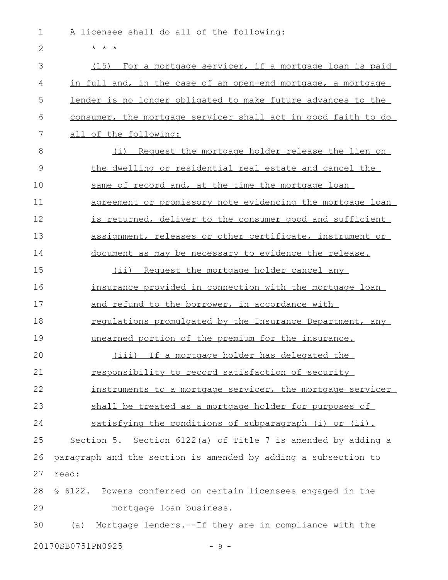A licensee shall do all of the following: 1

\* \* \* (15) For a mortgage servicer, if a mortgage loan is paid in full and, in the case of an open-end mortgage, a mortgage lender is no longer obligated to make future advances to the consumer, the mortgage servicer shall act in good faith to do all of the following: (i) Request the mortgage holder release the lien on the dwelling or residential real estate and cancel the same of record and, at the time the mortgage loan agreement or promissory note evidencing the mortgage loan is returned, deliver to the consumer good and sufficient assignment, releases or other certificate, instrument or document as may be necessary to evidence the release. (ii) Request the mortgage holder cancel any insurance provided in connection with the mortgage loan and refund to the borrower, in accordance with regulations promulgated by the Insurance Department, any unearned portion of the premium for the insurance. (iii) If a mortgage holder has delegated the responsibility to record satisfaction of security instruments to a mortgage servicer, the mortgage servicer shall be treated as a mortgage holder for purposes of satisfying the conditions of subparagraph (i) or (ii). Section 5. Section 6122(a) of Title 7 is amended by adding a paragraph and the section is amended by adding a subsection to read: § 6122. Powers conferred on certain licensees engaged in the mortgage loan business. (a) Mortgage lenders.--If they are in compliance with the 20170SB0751PN0925 - 9 -2 3 4 5 6 7 8 9 10 11 12 13 14 15 16 17 18 19 20 21 22 23 24 25 26 27 28 29 30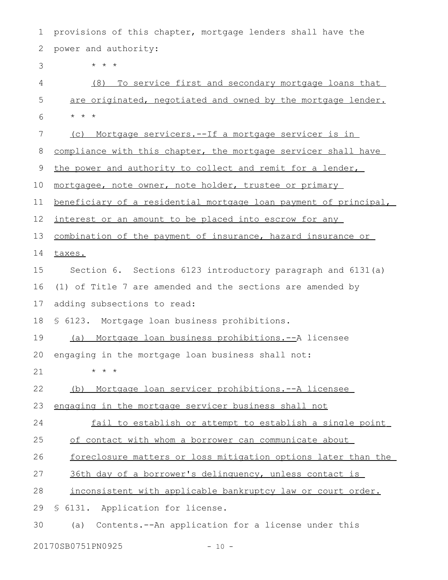provisions of this chapter, mortgage lenders shall have the power and authority: \* \* \* (8) To service first and secondary mortgage loans that are originated, negotiated and owned by the mortgage lender. \* \* \* (c) Mortgage servicers.--If a mortgage servicer is in compliance with this chapter, the mortgage servicer shall have the power and authority to collect and remit for a lender, mortgagee, note owner, note holder, trustee or primary beneficiary of a residential mortgage loan payment of principal, interest or an amount to be placed into escrow for any combination of the payment of insurance, hazard insurance or taxes. Section 6. Sections 6123 introductory paragraph and 6131(a) (1) of Title 7 are amended and the sections are amended by adding subsections to read: § 6123. Mortgage loan business prohibitions. (a) Mortgage loan business prohibitions.--A licensee engaging in the mortgage loan business shall not: \* \* \* (b) Mortgage loan servicer prohibitions.--A licensee engaging in the mortgage servicer business shall not fail to establish or attempt to establish a single point of contact with whom a borrower can communicate about foreclosure matters or loss mitigation options later than the 36th day of a borrower's delinquency, unless contact is inconsistent with applicable bankruptcy law or court order. § 6131. Application for license. (a) Contents.--An application for a license under this 1 2 3 4 5 6 7 8 9 10 11 12 13 14 15 16 17 18 19 20 21 22 23 24 25 26 27 28 29 30

20170SB0751PN0925 - 10 -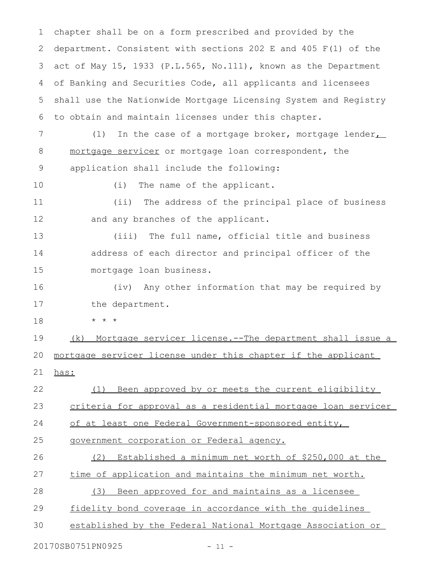chapter shall be on a form prescribed and provided by the department. Consistent with sections 202 E and 405 F(1) of the act of May 15, 1933 (P.L.565, No.111), known as the Department of Banking and Securities Code, all applicants and licensees shall use the Nationwide Mortgage Licensing System and Registry to obtain and maintain licenses under this chapter. 1 2 3 4 5 6

(1) In the case of a mortgage broker, mortgage lender $\overline{\phantom{a}}$ mortgage servicer or mortgage loan correspondent, the application shall include the following: 7 8 9

10

(i) The name of the applicant.

(ii) The address of the principal place of business and any branches of the applicant. 11 12

(iii) The full name, official title and business address of each director and principal officer of the mortgage loan business. 13 14 15

(iv) Any other information that may be required by the department. 16 17

\* \* \* 18

(k) Mortgage servicer license.--The department shall issue a mortgage servicer license under this chapter if the applicant 19 20

has: 21

(1) Been approved by or meets the current eligibility 22

criteria for approval as a residential mortgage loan servicer 23

of at least one Federal Government-sponsored entity, 24

government corporation or Federal agency. 25

(2) Established a minimum net worth of \$250,000 at the time of application and maintains the minimum net worth. (3) Been approved for and maintains as a licensee 26 27 28

fidelity bond coverage in accordance with the guidelines 29

established by the Federal National Mortgage Association or 30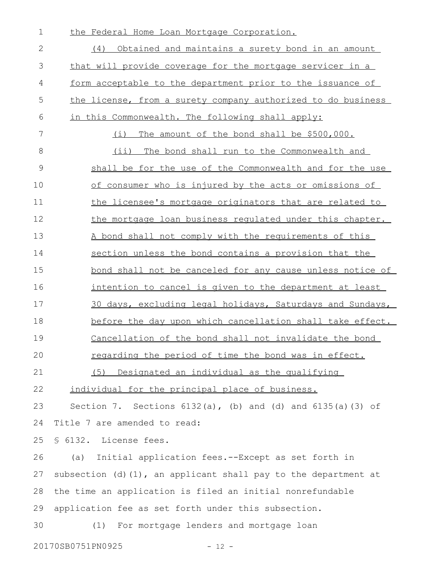| $\mathbf 1$  | the Federal Home Loan Mortgage Corporation.                          |
|--------------|----------------------------------------------------------------------|
| $\mathbf{2}$ | (4) Obtained and maintains a surety bond in an amount                |
| 3            | that will provide coverage for the mortgage servicer in a            |
| 4            | form acceptable to the department prior to the issuance of           |
| 5            | the license, from a surety company authorized to do business         |
| 6            | in this Commonwealth. The following shall apply:                     |
| 7            | (i) The amount of the bond shall be \$500,000.                       |
| 8            | (ii) The bond shall run to the Commonwealth and                      |
| 9            | shall be for the use of the Commonwealth and for the use             |
| 10           | of consumer who is injured by the acts or omissions of               |
| 11           | the licensee's mortgage originators that are related to              |
| 12           | the mortgage loan business regulated under this chapter.             |
| 13           | A bond shall not comply with the requirements of this                |
| 14           | section unless the bond contains a provision that the                |
| 15           | bond shall not be canceled for any cause unless notice of            |
| 16           | intention to cancel is given to the department at least              |
| 17           | 30 days, excluding legal holidays, Saturdays and Sundays,            |
| 18           | before the day upon which cancellation shall take effect.            |
| 19           | Cancellation of the bond shall not invalidate the bond               |
| 20           | regarding the period of time the bond was in effect.                 |
| 21           | (5) Designated an individual as the qualifying                       |
| 22           | individual for the principal place of business.                      |
| 23           | Section 7. Sections $6132(a)$ , (b) and (d) and $6135(a)$ (3) of     |
| 24           | Title 7 are amended to read:                                         |
| 25           | § 6132. License fees.                                                |
| 26           | Initial application fees.--Except as set forth in<br>(a)             |
| 27           | subsection $(d)$ $(1)$ , an applicant shall pay to the department at |
| 28           | the time an application is filed an initial nonrefundable            |
| 29           | application fee as set forth under this subsection.                  |
| 30           | For mortgage lenders and mortgage loan<br>(1)                        |
|              | 20170SB0751PN0925<br>$-12 -$                                         |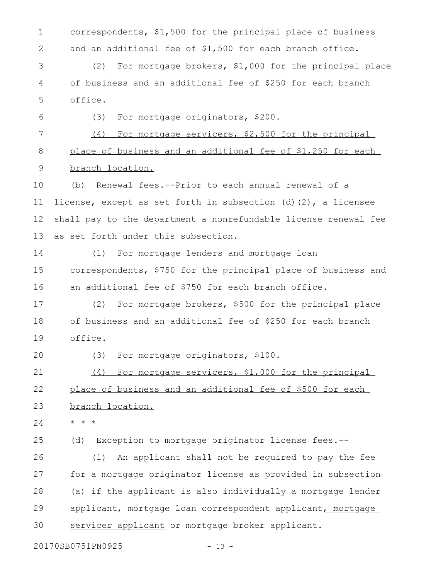correspondents, \$1,500 for the principal place of business and an additional fee of \$1,500 for each branch office. 1 2

(2) For mortgage brokers, \$1,000 for the principal place of business and an additional fee of \$250 for each branch office. 3 4 5

(3) For mortgage originators, \$200. 6

(4) For mortgage servicers, \$2,500 for the principal place of business and an additional fee of \$1,250 for each branch location. 7 8 9

(b) Renewal fees.--Prior to each annual renewal of a license, except as set forth in subsection  $(d)$  (2), a licensee shall pay to the department a nonrefundable license renewal fee as set forth under this subsection. 10 11 12 13

(1) For mortgage lenders and mortgage loan correspondents, \$750 for the principal place of business and an additional fee of \$750 for each branch office. 14 15 16

(2) For mortgage brokers, \$500 for the principal place of business and an additional fee of \$250 for each branch office. 17 18 19

20

(3) For mortgage originators, \$100.

(4) For mortgage servicers, \$1,000 for the principal place of business and an additional fee of \$500 for each 21 22

branch location. 23

\* \* \* 24

(d) Exception to mortgage originator license fees.-- 25

(1) An applicant shall not be required to pay the fee for a mortgage originator license as provided in subsection (a) if the applicant is also individually a mortgage lender applicant, mortgage loan correspondent applicant, mortgage servicer applicant or mortgage broker applicant. 26 27 28 29 30

20170SB0751PN0925 - 13 -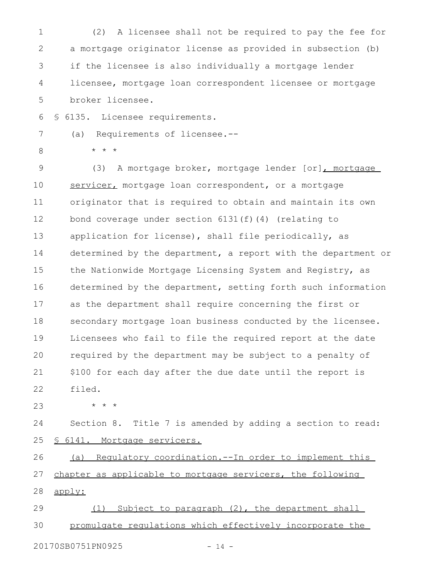(2) A licensee shall not be required to pay the fee for a mortgage originator license as provided in subsection (b) if the licensee is also individually a mortgage lender licensee, mortgage loan correspondent licensee or mortgage broker licensee. 1 2 3 4 5

§ 6135. Licensee requirements. 6

(a) Requirements of licensee.--

8

7

\* \* \*

(3) A mortgage broker, mortgage lender [or], mortgage servicer, mortgage loan correspondent, or a mortgage originator that is required to obtain and maintain its own bond coverage under section 6131(f)(4) (relating to application for license), shall file periodically, as determined by the department, a report with the department or the Nationwide Mortgage Licensing System and Registry, as determined by the department, setting forth such information as the department shall require concerning the first or secondary mortgage loan business conducted by the licensee. Licensees who fail to file the required report at the date required by the department may be subject to a penalty of \$100 for each day after the due date until the report is filed. 9 10 11 12 13 14 15 16 17 18 19 20 21 22

23

\* \* \*

Section 8. Title 7 is amended by adding a section to read: § 6141. Mortgage servicers. 24 25

(a) Regulatory coordination.--In order to implement this chapter as applicable to mortgage servicers, the following apply: 26 27 28

(1) Subject to paragraph (2), the department shall promulgate regulations which effectively incorporate the 29 30

20170SB0751PN0925 - 14 -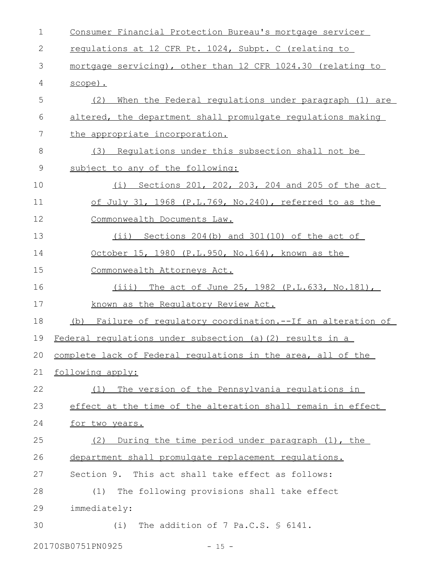| $\mathbf 1$ | Consumer Financial Protection Bureau's mortgage servicer        |
|-------------|-----------------------------------------------------------------|
| 2           | regulations at 12 CFR Pt. 1024, Subpt. C (relating to           |
| 3           | mortgage servicing), other than 12 CFR 1024.30 (relating to     |
| 4           | scope).                                                         |
| 5           | (2)<br>When the Federal requlations under paragraph (1) are     |
| 6           | altered, the department shall promulgate regulations making     |
| 7           | the appropriate incorporation.                                  |
| 8           | (3) Requlations under this subsection shall not be              |
| $\mathsf 9$ | subject to any of the following:                                |
| 10          | Sections 201, 202, 203, 204 and 205 of the act<br>(i)           |
| 11          | of July 31, 1968 (P.L.769, No.240), referred to as the          |
| 12          | Commonwealth Documents Law.                                     |
| 13          | (ii) Sections 204(b) and 301(10) of the act of                  |
| 14          | October 15, 1980 (P.L.950, No.164), known as the                |
| 15          | Commonwealth Attorneys Act.                                     |
| 16          | $(iii)$ The act of June 25, 1982 (P.L.633, No.181),             |
| 17          | known as the Regulatory Review Act.                             |
| 18          | (b) Failure of regulatory coordination.--If an alteration of    |
| 19          | Federal requiations under subsection (a) (2) results in a       |
|             | 20 complete lack of Federal regulations in the area, all of the |
| 21          | following apply:                                                |
| 22          | The version of the Pennsylvania regulations in<br>(1)           |
| 23          | effect at the time of the alteration shall remain in effect     |
| 24          | for two years.                                                  |
| 25          | During the time period under paragraph (1), the<br>(2)          |
| 26          | department shall promulgate replacement requlations.            |
| 27          | Section 9. This act shall take effect as follows:               |
| 28          | The following provisions shall take effect<br>(1)               |
| 29          | immediately:                                                    |
| 30          | The addition of 7 Pa.C.S. § 6141.<br>(i)                        |
|             | 20170SB0751PN0925<br>$-15 -$                                    |